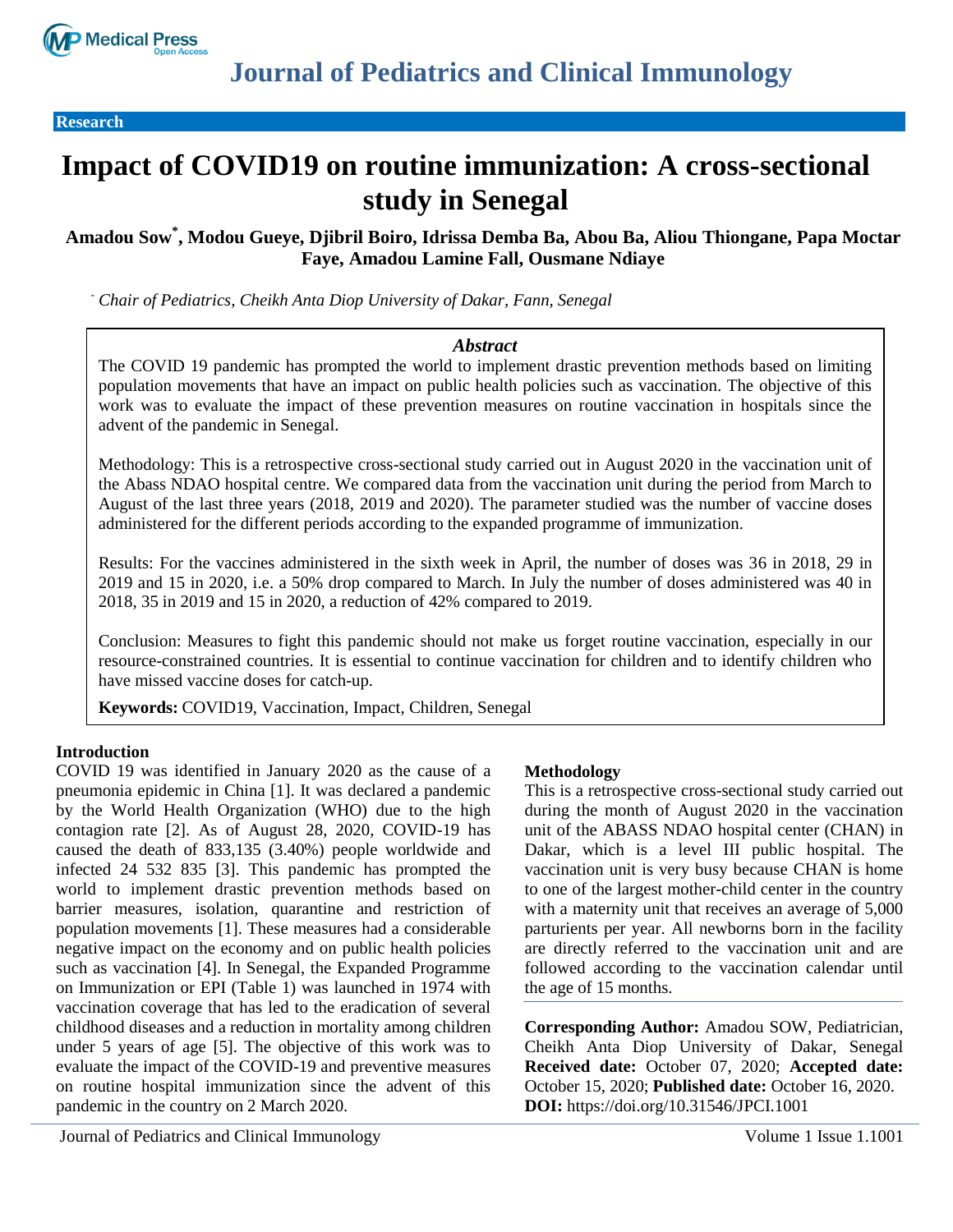

**Research** 

# **Impact of COVID19 on routine immunization: A cross-sectional study in Senegal**

## **Amadou Sow\* , Modou Gueye, Djibril Boiro, Idrissa Demba Ba, Abou Ba, Aliou Thiongane, Papa Moctar Faye, Amadou Lamine Fall, Ousmane Ndiaye**

*- Chair of Pediatrics, Cheikh Anta Diop University of Dakar, Fann, Senegal*

#### *Abstract*

The COVID 19 pandemic has prompted the world to implement drastic prevention methods based on limiting population movements that have an impact on public health policies such as vaccination. The objective of this work was to evaluate the impact of these prevention measures on routine vaccination in hospitals since the advent of the pandemic in Senegal.

Methodology: This is a retrospective cross-sectional study carried out in August 2020 in the vaccination unit of the Abass NDAO hospital centre. We compared data from the vaccination unit during the period from March to August of the last three years (2018, 2019 and 2020). The parameter studied was the number of vaccine doses administered for the different periods according to the expanded programme of immunization.

Results: For the vaccines administered in the sixth week in April, the number of doses was 36 in 2018, 29 in 2019 and 15 in 2020, i.e. a 50% drop compared to March. In July the number of doses administered was 40 in 2018, 35 in 2019 and 15 in 2020, a reduction of 42% compared to 2019.

Conclusion: Measures to fight this pandemic should not make us forget routine vaccination, especially in our resource-constrained countries. It is essential to continue vaccination for children and to identify children who have missed vaccine doses for catch-up.

**Keywords:** COVID19, Vaccination, Impact, Children, Senegal

#### **Introduction**

COVID 19 was identified in January 2020 as the cause of a pneumonia epidemic in China [1]. It was declared a pandemic by the World Health Organization (WHO) due to the high contagion rate [2]. As of August 28, 2020, COVID-19 has caused the death of 833,135 (3.40%) people worldwide and infected 24 532 835 [3]. This pandemic has prompted the world to implement drastic prevention methods based on barrier measures, isolation, quarantine and restriction of population movements [1]. These measures had a considerable negative impact on the economy and on public health policies such as vaccination [4]. In Senegal, the Expanded Programme on Immunization or EPI (Table 1) was launched in 1974 with vaccination coverage that has led to the eradication of several childhood diseases and a reduction in mortality among children under 5 years of age [5]. The objective of this work was to evaluate the impact of the COVID-19 and preventive measures on routine hospital immunization since the advent of this pandemic in the country on 2 March 2020.

#### **Methodology**

This is a retrospective cross-sectional study carried out during the month of August 2020 in the vaccination unit of the ABASS NDAO hospital center (CHAN) in Dakar, which is a level III public hospital. The vaccination unit is very busy because CHAN is home to one of the largest mother-child center in the country with a maternity unit that receives an average of 5,000 parturients per year. All newborns born in the facility are directly referred to the vaccination unit and are followed according to the vaccination calendar until the age of 15 months.

**Corresponding Author:** Amadou SOW, Pediatrician, Cheikh Anta Diop University of Dakar, Senegal **Received date:** October 07, 2020; **Accepted date:** October 15, 2020; **Published date:** October 16, 2020. **DOI:** https://doi.org/10.31546/JPCI.1001

Journal of Pediatrics and Clinical Immunology Volume 1 Issue 1.1001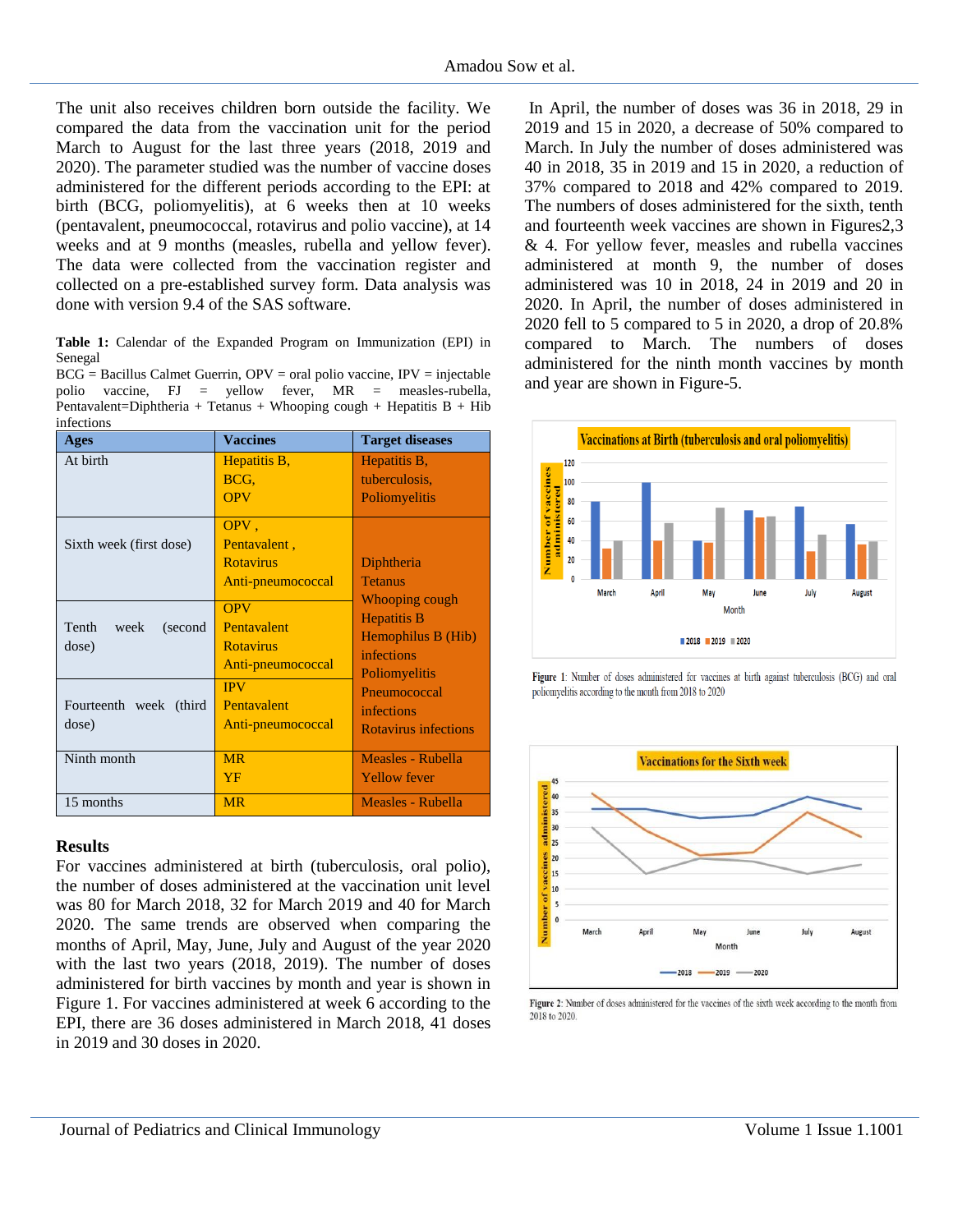The unit also receives children born outside the facility. We compared the data from the vaccination unit for the period March to August for the last three years (2018, 2019 and 2020). The parameter studied was the number of vaccine doses administered for the different periods according to the EPI: at birth (BCG, poliomyelitis), at 6 weeks then at 10 weeks (pentavalent, pneumococcal, rotavirus and polio vaccine), at 14 weeks and at 9 months (measles, rubella and yellow fever). The data were collected from the vaccination register and collected on a pre-established survey form. Data analysis was done with version 9.4 of the SAS software.

**Table 1:** Calendar of the Expanded Program on Immunization (EPI) in Senegal

|            |  |  |  | $BCG =$ Bacillus Calmet Guerrin, $OPV =$ oral polio vaccine, $IPV =$ injectable |  |
|------------|--|--|--|---------------------------------------------------------------------------------|--|
|            |  |  |  | polio vaccine, $FJ =$ yellow fever, $MR =$ measles-rubella,                     |  |
|            |  |  |  | Pentavalent=Diphtheria + Tetanus + Whooping cough + Hepatitis $B + Hib$         |  |
| infections |  |  |  |                                                                                 |  |

| <b>Ages</b>                       | <b>Vaccines</b>                                                    | <b>Target diseases</b>                                                                                                                      |  |  |  |
|-----------------------------------|--------------------------------------------------------------------|---------------------------------------------------------------------------------------------------------------------------------------------|--|--|--|
| At birth                          | Hepatitis B,<br>BCG.<br><b>OPV</b>                                 | Hepatitis B,<br>tuberculosis,<br>Poliomyelitis                                                                                              |  |  |  |
| Sixth week (first dose)           | OPV,<br>Pentavalent,<br><b>Rotavirus</b><br>Anti-pneumococcal      | Diphtheria<br><b>Tetanus</b><br>Whooping cough                                                                                              |  |  |  |
| Tenth<br>week<br>(second<br>dose) | <b>OPV</b><br>Pentavalent<br><b>Rotavirus</b><br>Anti-pneumococcal | <b>Hepatitis B</b><br>Hemophilus B (Hib)<br><i>infections</i><br>Poliomyelitis<br>Pneumococcal<br>infections<br><b>Rotavirus infections</b> |  |  |  |
| Fourteenth week (third<br>dose)   | <b>IPV</b><br>Pentavalent<br>Anti-pneumococcal                     |                                                                                                                                             |  |  |  |
| Ninth month                       | <b>MR</b><br>YF                                                    | Measles - Rubella<br><b>Yellow fever</b>                                                                                                    |  |  |  |
| 15 months                         | <b>MR</b>                                                          | Measles - Rubella                                                                                                                           |  |  |  |

#### **Results**

For vaccines administered at birth (tuberculosis, oral polio), the number of doses administered at the vaccination unit level was 80 for March 2018, 32 for March 2019 and 40 for March 2020. The same trends are observed when comparing the months of April, May, June, July and August of the year 2020 with the last two years (2018, 2019). The number of doses administered for birth vaccines by month and year is shown in Figure 1. For vaccines administered at week 6 according to the EPI, there are 36 doses administered in March 2018, 41 doses in 2019 and 30 doses in 2020.

In April, the number of doses was 36 in 2018, 29 in 2019 and 15 in 2020, a decrease of 50% compared to March. In July the number of doses administered was 40 in 2018, 35 in 2019 and 15 in 2020, a reduction of 37% compared to 2018 and 42% compared to 2019. The numbers of doses administered for the sixth, tenth and fourteenth week vaccines are shown in Figures2,3 & 4. For yellow fever, measles and rubella vaccines administered at month 9, the number of doses administered was 10 in 2018, 24 in 2019 and 20 in 2020. In April, the number of doses administered in 2020 fell to 5 compared to 5 in 2020, a drop of 20.8% compared to March. The numbers of doses administered for the ninth month vaccines by month and year are shown in Figure-5.



Figure 1: Number of doses administered for vaccines at birth against tuberculosis (BCG) and oral poliomyelitis according to the month from 2018 to 2020



Figure 2: Number of doses administered for the vaccines of the sixth week according to the month from 2018 to 2020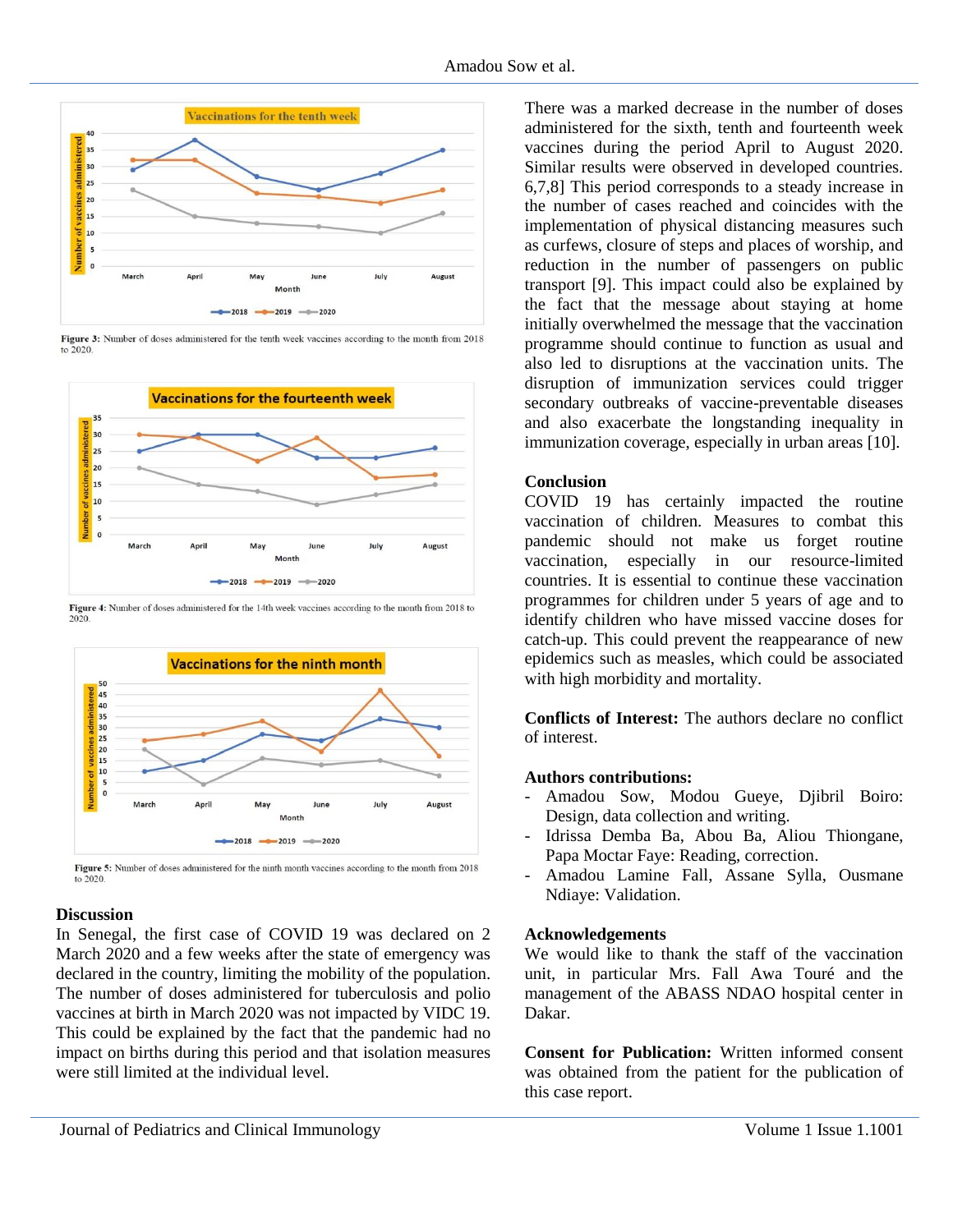

Figure 3: Number of doses administered for the tenth week vaccines according to the month from 2018  $\overline{10}$  2020



Figure 4: Number of doses administered for the 14th week vaccines according to the month from 2018 to



Figure 5: Number of doses administered for the ninth month vaccines according to the month from 2018 to  $2020$ 

## **Discussion**

In Senegal, the first case of COVID 19 was declared on 2 March 2020 and a few weeks after the state of emergency was declared in the country, limiting the mobility of the population. The number of doses administered for tuberculosis and polio vaccines at birth in March 2020 was not impacted by VIDC 19. This could be explained by the fact that the pandemic had no impact on births during this period and that isolation measures were still limited at the individual level.

There was a marked decrease in the number of doses administered for the sixth, tenth and fourteenth week vaccines during the period April to August 2020. Similar results were observed in developed countries. 6,7,8] This period corresponds to a steady increase in the number of cases reached and coincides with the implementation of physical distancing measures such as curfews, closure of steps and places of worship, and reduction in the number of passengers on public transport [9]. This impact could also be explained by the fact that the message about staying at home initially overwhelmed the message that the vaccination programme should continue to function as usual and also led to disruptions at the vaccination units. The disruption of immunization services could trigger secondary outbreaks of vaccine-preventable diseases and also exacerbate the longstanding inequality in immunization coverage, especially in urban areas [10].

## **Conclusion**

COVID 19 has certainly impacted the routine vaccination of children. Measures to combat this pandemic should not make us forget routine vaccination, especially in our resource-limited countries. It is essential to continue these vaccination programmes for children under 5 years of age and to identify children who have missed vaccine doses for catch-up. This could prevent the reappearance of new epidemics such as measles, which could be associated with high morbidity and mortality.

**Conflicts of Interest:** The authors declare no conflict of interest.

## **Authors contributions:**

- Amadou Sow, Modou Gueye, Djibril Boiro: Design, data collection and writing.
- Idrissa Demba Ba, Abou Ba, Aliou Thiongane, Papa Moctar Faye: Reading, correction.
- Amadou Lamine Fall, Assane Sylla, Ousmane Ndiaye: Validation.

## **Acknowledgements**

We would like to thank the staff of the vaccination unit, in particular Mrs. Fall Awa Touré and the management of the ABASS NDAO hospital center in Dakar.

**Consent for Publication:** Written informed consent was obtained from the patient for the publication of this case report.